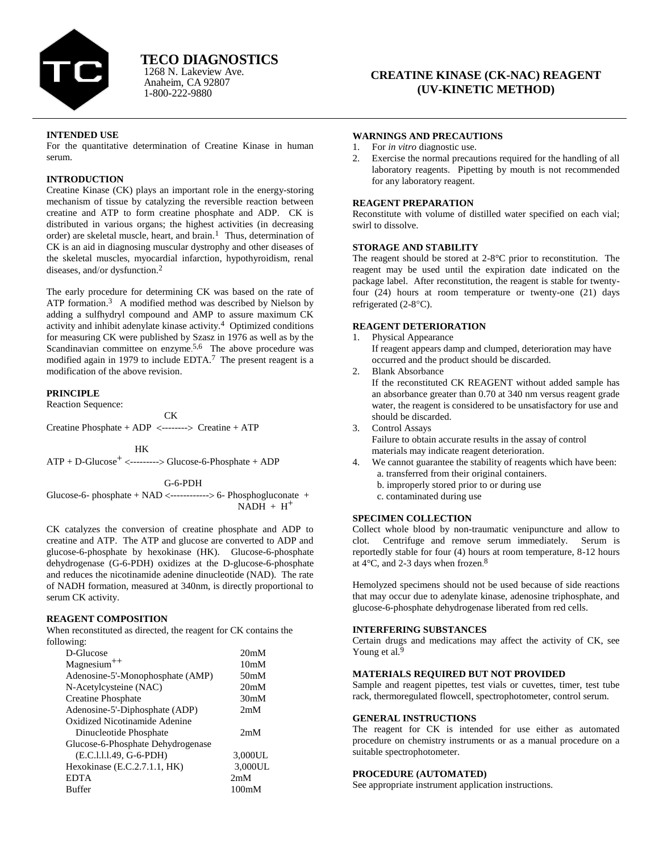

# **INTENDED USE**

For the quantitative determination of Creatine Kinase in human serum.

1-800-222-9880

# **INTRODUCTION**

Creatine Kinase (CK) plays an important role in the energy-storing mechanism of tissue by catalyzing the reversible reaction between creatine and ATP to form creatine phosphate and ADP. CK is distributed in various organs; the highest activities (in decreasing order) are skeletal muscle, heart, and brain.<sup>1</sup> Thus, determination of CK is an aid in diagnosing muscular dystrophy and other diseases of the skeletal muscles, myocardial infarction, hypothyroidism, renal diseases, and/or dysfunction. $2$ 

The early procedure for determining CK was based on the rate of ATP formation.<sup>3</sup> A modified method was described by Nielson by adding a sulfhydryl compound and AMP to assure maximum CK activity and inhibit adenylate kinase activity.<sup>4</sup> Optimized conditions for measuring CK were published by Szasz in 1976 as well as by the Scandinavian committee on enzyme.<sup>5,6</sup> The above procedure was modified again in 1979 to include EDTA.7 The present reagent is a modification of the above revision.

## **PRINCIPLE**

Reaction Sequence:

**CK** CK Creatine Phosphate +  $ADP$  <--------> Creatine +  $ATP$ 

HK

 $ATP + D-Glucose<sup>+</sup>$  <-------->  $Glucose-6-Phosphate + ADP$ 

G-6-PDH

Glucose-6- phosphate + NAD <------------> 6- Phosphogluconate +  $NADH + H<sup>+</sup>$ 

CK catalyzes the conversion of creatine phosphate and ADP to creatine and ATP. The ATP and glucose are converted to ADP and glucose-6-phosphate by hexokinase (HK). Glucose-6-phosphate dehydrogenase (G-6-PDH) oxidizes at the D-glucose-6-phosphate and reduces the nicotinamide adenine dinucleotide (NAD). The rate of NADH formation, measured at 340nm, is directly proportional to serum CK activity.

# **REAGENT COMPOSITION**

When reconstituted as directed, the reagent for CK contains the following:

| D-Glucose                         | 20 <sub>m</sub> M |
|-----------------------------------|-------------------|
| $Magnesium^{++}$                  | 10 <sub>m</sub> M |
| Adenosine-5'-Monophosphate (AMP)  | 50 <sub>m</sub> M |
| N-Acetylcysteine (NAC)            | 20 <sub>m</sub> M |
| <b>Creatine Phosphate</b>         | 30 <sub>m</sub> M |
| Adenosine-5'-Diphosphate (ADP)    | 2mM               |
| Oxidized Nicotinamide Adenine     |                   |
| Dinucleotide Phosphate            | 2mM               |
| Glucose-6-Phosphate Dehydrogenase |                   |
| (E.C.1.1.1.49, G-6-PDH)           | 3,000UL           |
| Hexokinase $(E.C.2.7.1.1, HK)$    | 3,000UL           |
| <b>EDTA</b>                       | 2mM               |
| Buffer                            | 100mM             |

#### **WARNINGS AND PRECAUTIONS**

- 1. For *in vitro* diagnostic use.
- 2. Exercise the normal precautions required for the handling of all laboratory reagents. Pipetting by mouth is not recommended for any laboratory reagent.

## **REAGENT PREPARATION**

Reconstitute with volume of distilled water specified on each vial; swirl to dissolve.

# **STORAGE AND STABILITY**

The reagent should be stored at 2-8°C prior to reconstitution. The reagent may be used until the expiration date indicated on the package label. After reconstitution, the reagent is stable for twentyfour (24) hours at room temperature or twenty-one (21) days refrigerated  $(2-8°C)$ .

#### **REAGENT DETERIORATION**

1. Physical Appearance

If reagent appears damp and clumped, deterioration may have occurred and the product should be discarded.

2. Blank Absorbance

If the reconstituted CK REAGENT without added sample has an absorbance greater than 0.70 at 340 nm versus reagent grade water, the reagent is considered to be unsatisfactory for use and should be discarded.

3. Control Assays Failure to obtain accurate results in the assay of control

materials may indicate reagent deterioration.

- 4. We cannot guarantee the stability of reagents which have been: a. transferred from their original containers.
	- b. improperly stored prior to or during use
	- c. contaminated during use

# **SPECIMEN COLLECTION**

Collect whole blood by non-traumatic venipuncture and allow to clot. Centrifuge and remove serum immediately. Serum is reportedly stable for four (4) hours at room temperature, 8-12 hours at  $4^{\circ}$ C, and 2-3 days when frozen.<sup>8</sup>

Hemolyzed specimens should not be used because of side reactions that may occur due to adenylate kinase, adenosine triphosphate, and glucose-6-phosphate dehydrogenase liberated from red cells.

# **INTERFERING SUBSTANCES**

Certain drugs and medications may affect the activity of CK, see Young et al.<sup>9</sup>

# **MATERIALS REQUIRED BUT NOT PROVIDED**

Sample and reagent pipettes, test vials or cuvettes, timer, test tube rack, thermoregulated flowcell, spectrophotometer, control serum.

### **GENERAL INSTRUCTIONS**

The reagent for CK is intended for use either as automated procedure on chemistry instruments or as a manual procedure on a suitable spectrophotometer.

### **PROCEDURE (AUTOMATED)**

See appropriate instrument application instructions.